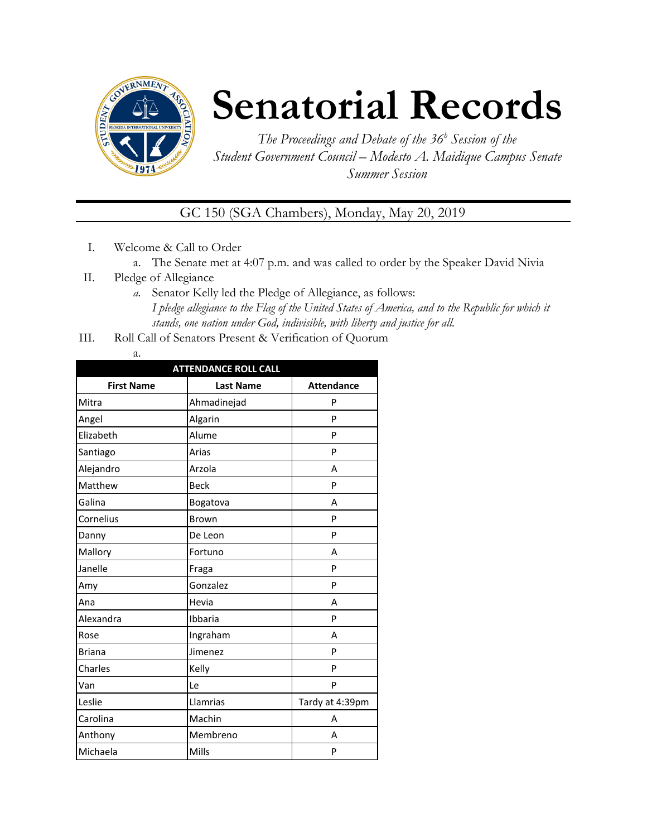

# **Senatorial Records**

*The Proceedings and Debate of the 36 <sup>h</sup> Session of the Student Government Council – Modesto A. Maidique Campus Senate Summer Session*

GC 150 (SGA Chambers), Monday, May 20, 2019

- I. Welcome & Call to Order
	- a. The Senate met at 4:07 p.m. and was called to order by the Speaker David Nivia
- II. Pledge of Allegiance
	- *a.* Senator Kelly led the Pledge of Allegiance, as follows: *I pledge allegiance to the Flag of the United States of America, and to the Republic for which it stands, one nation under God, indivisible, with liberty and justice for all.*
- III. Roll Call of Senators Present & Verification of Quorum
	- a.

| <b>ATTENDANCE ROLL CALL</b> |                  |                   |  |  |  |
|-----------------------------|------------------|-------------------|--|--|--|
| <b>First Name</b>           | <b>Last Name</b> | <b>Attendance</b> |  |  |  |
| Mitra                       | Ahmadinejad      | P                 |  |  |  |
| Angel                       | Algarin          | P                 |  |  |  |
| Elizabeth                   | Alume            | P                 |  |  |  |
| Santiago                    | Arias            | P                 |  |  |  |
| Alejandro                   | Arzola           | А                 |  |  |  |
| Matthew                     | <b>Beck</b>      | P                 |  |  |  |
| Galina                      | Bogatova         | А                 |  |  |  |
| Cornelius                   | <b>Brown</b>     | P                 |  |  |  |
| Danny                       | De Leon          | P                 |  |  |  |
| Mallory                     | Fortuno          | A                 |  |  |  |
| Janelle                     | Fraga            | P                 |  |  |  |
| Amy                         | Gonzalez         | P                 |  |  |  |
| Ana                         | Hevia            | A                 |  |  |  |
| Alexandra                   | Ibbaria          | P                 |  |  |  |
| Rose                        | Ingraham         | A                 |  |  |  |
| <b>Briana</b>               | Jimenez          | P                 |  |  |  |
| Charles                     | Kelly            | P                 |  |  |  |
| Van                         | Le               | P                 |  |  |  |
| Leslie                      | Llamrias         | Tardy at 4:39pm   |  |  |  |
| Carolina                    | Machin           | А                 |  |  |  |
| Anthony                     | Membreno         | А                 |  |  |  |
| Michaela                    | Mills            | P                 |  |  |  |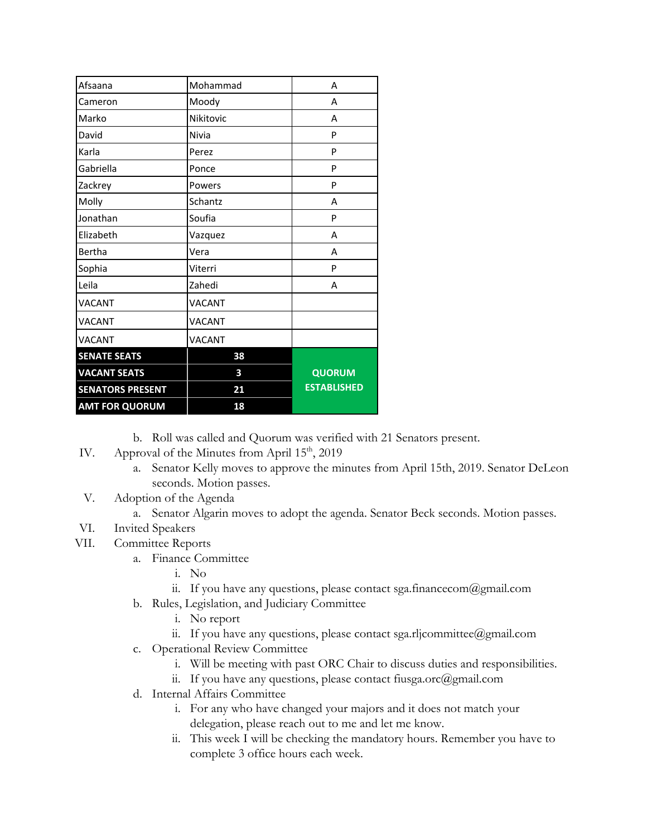| Afsaana                 | Mohammad      | A                  |
|-------------------------|---------------|--------------------|
| Cameron                 | Moody         | A                  |
| Marko                   | Nikitovic     | A                  |
| David                   | Nivia         | P                  |
| Karla                   | Perez         | P                  |
| Gabriella               | Ponce         | P                  |
| Zackrey                 | Powers        | P                  |
| Molly                   | Schantz       | A                  |
| Jonathan                | Soufia        | P                  |
| Elizabeth               | Vazquez       | A                  |
| Bertha                  | Vera          | A                  |
| Sophia                  | Viterri       | P                  |
| Leila                   | Zahedi        | А                  |
| VACANT                  | VACANT        |                    |
| VACANT                  | VACANT        |                    |
| VACANT                  | <b>VACANT</b> |                    |
| <b>SENATE SEATS</b>     | 38            |                    |
| <b>VACANT SEATS</b>     | 3             | QUORUM             |
| <b>SENATORS PRESENT</b> | 21            | <b>ESTABLISHED</b> |
| <b>AMT FOR QUORUM</b>   | 18            |                    |

b. Roll was called and Quorum was verified with 21 Senators present.

- IV. Approval of the Minutes from April 15<sup>th</sup>, 2019
	- a. Senator Kelly moves to approve the minutes from April 15th, 2019. Senator DeLeon seconds. Motion passes.
- V. Adoption of the Agenda
	- a. Senator Algarin moves to adopt the agenda. Senator Beck seconds. Motion passes.
- VI. Invited Speakers
- VII. Committee Reports
	- a. Finance Committee
		- i. No
		- ii. If you have any questions, please contact sga.financecom@gmail.com
	- b. Rules, Legislation, and Judiciary Committee
		- i. No report
		- ii. If you have any questions, please contact sga.rljcommittee@gmail.com
	- c. Operational Review Committee
		- i. Will be meeting with past ORC Chair to discuss duties and responsibilities.
		- ii. If you have any questions, please contact fiusga.orc@gmail.com
	- d. Internal Affairs Committee
		- i. For any who have changed your majors and it does not match your delegation, please reach out to me and let me know.
		- ii. This week I will be checking the mandatory hours. Remember you have to complete 3 office hours each week.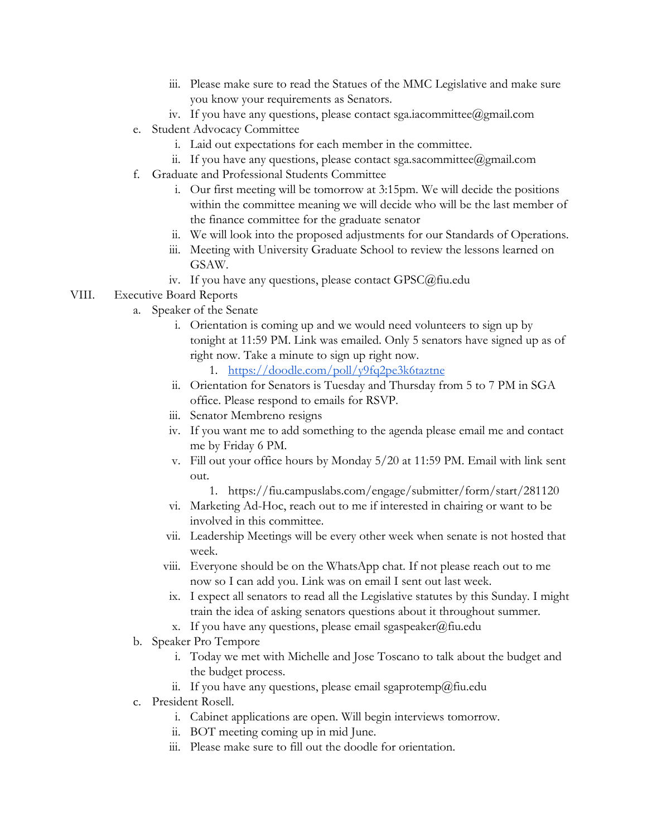- iii. Please make sure to read the Statues of the MMC Legislative and make sure you know your requirements as Senators.
- iv. If you have any questions, please contact sga.iacommittee@gmail.com
- e. Student Advocacy Committee
	- i. Laid out expectations for each member in the committee.
	- ii. If you have any questions, please contact sga.sacommittee@gmail.com
- f. Graduate and Professional Students Committee
	- i. Our first meeting will be tomorrow at 3:15pm. We will decide the positions within the committee meaning we will decide who will be the last member of the finance committee for the graduate senator
	- ii. We will look into the proposed adjustments for our Standards of Operations.
	- iii. Meeting with University Graduate School to review the lessons learned on GSAW.
	- iv. If you have any questions, please contact GPSC@fiu.edu

### VIII. Executive Board Reports

- a. Speaker of the Senate
	- i. Orientation is coming up and we would need volunteers to sign up by tonight at 11:59 PM. Link was emailed. Only 5 senators have signed up as of right now. Take a minute to sign up right now.
		- 1. <https://doodle.com/poll/y9fq2pe3k6taztne>
	- ii. Orientation for Senators is Tuesday and Thursday from 5 to 7 PM in SGA office. Please respond to emails for RSVP.
	- iii. Senator Membreno resigns
	- iv. If you want me to add something to the agenda please email me and contact me by Friday 6 PM.
	- v. Fill out your office hours by Monday 5/20 at 11:59 PM. Email with link sent out.
		- 1. https://fiu.campuslabs.com/engage/submitter/form/start/281120
	- vi. Marketing Ad-Hoc, reach out to me if interested in chairing or want to be involved in this committee.
	- vii. Leadership Meetings will be every other week when senate is not hosted that week.
	- viii. Everyone should be on the WhatsApp chat. If not please reach out to me now so I can add you. Link was on email I sent out last week.
	- ix. I expect all senators to read all the Legislative statutes by this Sunday. I might train the idea of asking senators questions about it throughout summer.
	- x. If you have any questions, please email sgaspeaker@fiu.edu
- b. Speaker Pro Tempore
	- i. Today we met with Michelle and Jose Toscano to talk about the budget and the budget process.
	- ii. If you have any questions, please email sgaprotemp@fiu.edu
- c. President Rosell.
	- i. Cabinet applications are open. Will begin interviews tomorrow.
	- ii. BOT meeting coming up in mid June.
	- iii. Please make sure to fill out the doodle for orientation.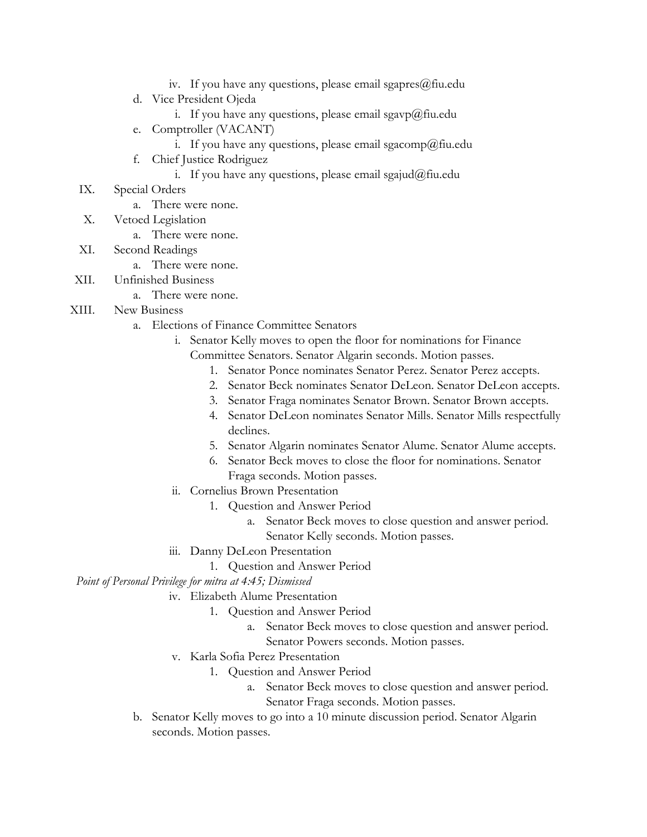- iv. If you have any questions, please email sgapres $@$ fiu.edu
- d. Vice President Ojeda
	- i. If you have any questions, please email sgavp@fiu.edu
- e. Comptroller (VACANT)
	- i. If you have any questions, please email sgacomp@fiu.edu
- f. Chief Justice Rodriguez
	- i. If you have any questions, please email sgajud@fiu.edu
- IX. Special Orders
	- a. There were none.
- X. Vetoed Legislation
	- a. There were none.
- XI. Second Readings
	- a. There were none.
- XII. Unfinished Business
	- a. There were none.
- XIII. New Business
	- a. Elections of Finance Committee Senators
		- i. Senator Kelly moves to open the floor for nominations for Finance Committee Senators. Senator Algarin seconds. Motion passes.
			- 1. Senator Ponce nominates Senator Perez. Senator Perez accepts.
			- 2. Senator Beck nominates Senator DeLeon. Senator DeLeon accepts.
			- 3. Senator Fraga nominates Senator Brown. Senator Brown accepts.
			- 4. Senator DeLeon nominates Senator Mills. Senator Mills respectfully declines.
			- 5. Senator Algarin nominates Senator Alume. Senator Alume accepts.
			- 6. Senator Beck moves to close the floor for nominations. Senator Fraga seconds. Motion passes.
		- ii. Cornelius Brown Presentation
			- 1. Question and Answer Period
				- a. Senator Beck moves to close question and answer period. Senator Kelly seconds. Motion passes.
		- iii. Danny DeLeon Presentation
			- 1. Question and Answer Period

## *Point of Personal Privilege for mitra at 4:45; Dismissed*

- iv. Elizabeth Alume Presentation
	- 1. Question and Answer Period
		- a. Senator Beck moves to close question and answer period. Senator Powers seconds. Motion passes.
- v. Karla Sofia Perez Presentation
	- 1. Question and Answer Period
		- a. Senator Beck moves to close question and answer period. Senator Fraga seconds. Motion passes.
- b. Senator Kelly moves to go into a 10 minute discussion period. Senator Algarin seconds. Motion passes.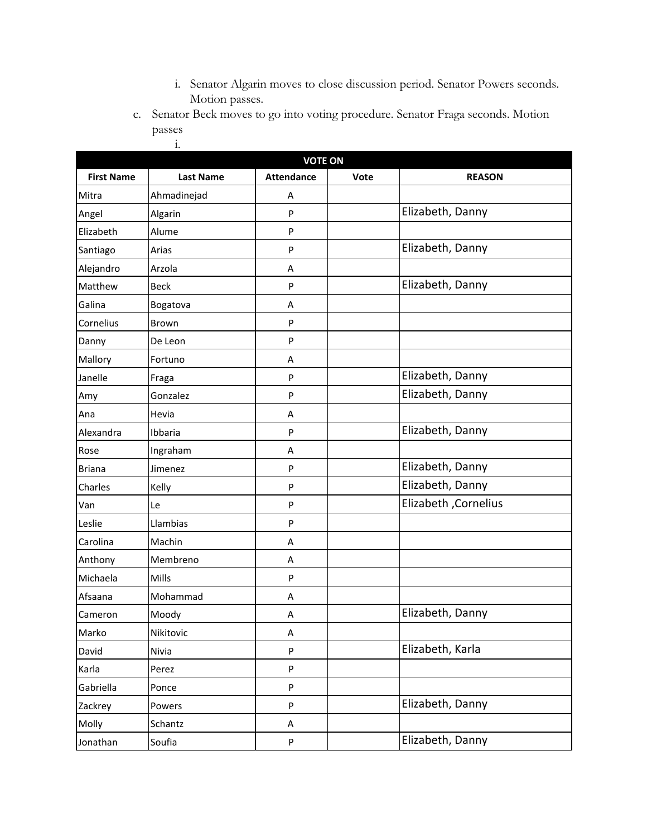- i. Senator Algarin moves to close discussion period. Senator Powers seconds. Motion passes.
- c. Senator Beck moves to go into voting procedure. Senator Fraga seconds. Motion passes

|                   | $\ddot{i}$ .     |                                     |      |                      |
|-------------------|------------------|-------------------------------------|------|----------------------|
|                   |                  | <b>VOTE ON</b><br><b>Attendance</b> |      |                      |
| <b>First Name</b> | <b>Last Name</b> |                                     | Vote | <b>REASON</b>        |
| Mitra             | Ahmadinejad      | Α                                   |      | Elizabeth, Danny     |
| Angel             | Algarin          | P                                   |      |                      |
| Elizabeth         | Alume            | P                                   |      |                      |
| Santiago          | Arias            | P                                   |      | Elizabeth, Danny     |
| Alejandro         | Arzola           | Α                                   |      |                      |
| Matthew           | <b>Beck</b>      | ${\sf P}$                           |      | Elizabeth, Danny     |
| Galina            | Bogatova         | Α                                   |      |                      |
| Cornelius         | Brown            | P                                   |      |                      |
| Danny             | De Leon          | P                                   |      |                      |
| Mallory           | Fortuno          | Α                                   |      |                      |
| Janelle           | Fraga            | P                                   |      | Elizabeth, Danny     |
| Amy               | Gonzalez         | P                                   |      | Elizabeth, Danny     |
| Ana               | Hevia            | A                                   |      |                      |
| Alexandra         | Ibbaria          | P                                   |      | Elizabeth, Danny     |
| Rose              | Ingraham         | Α                                   |      |                      |
| <b>Briana</b>     | Jimenez          | ${\sf P}$                           |      | Elizabeth, Danny     |
| Charles           | Kelly            | ${\sf P}$                           |      | Elizabeth, Danny     |
| Van               | Le               | ${\sf P}$                           |      | Elizabeth, Cornelius |
| Leslie            | Llambias         | P                                   |      |                      |
| Carolina          | Machin           | Α                                   |      |                      |
| Anthony           | Membreno         | Α                                   |      |                      |
| Michaela          | Mills            | ${\sf P}$                           |      |                      |
| Afsaana           | Mohammad         | Α                                   |      |                      |
| Cameron           | Moody            | Α                                   |      | Elizabeth, Danny     |
| Marko             | Nikitovic        | A                                   |      |                      |
| David             | Nivia            | P                                   |      | Elizabeth, Karla     |
| Karla             | Perez            | ${\sf P}$                           |      |                      |
| Gabriella         | Ponce            | ${\sf P}$                           |      |                      |
| Zackrey           | Powers           | P                                   |      | Elizabeth, Danny     |
| Molly             | Schantz          | A                                   |      |                      |
| Jonathan          | Soufia           | ${\sf P}$                           |      | Elizabeth, Danny     |